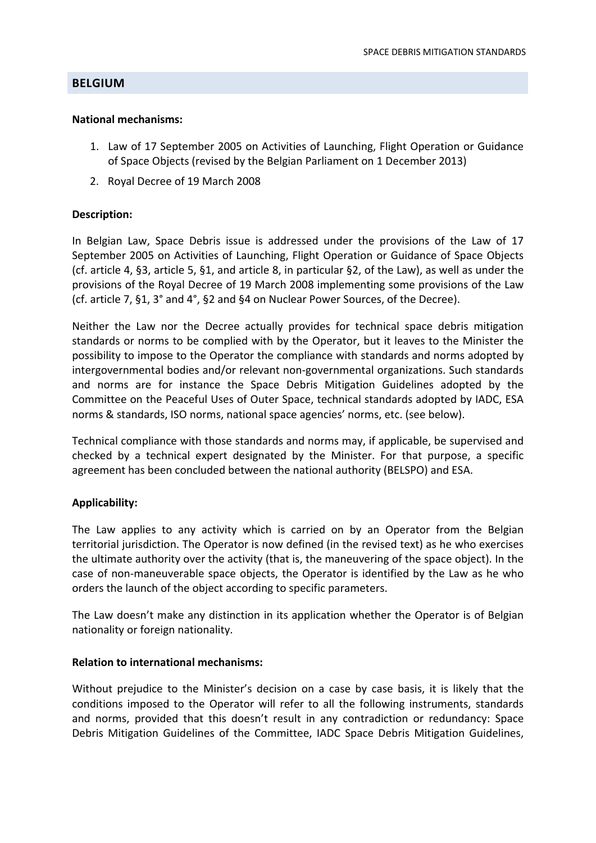# **BELGIUM**

### **National mechanisms:**

- 1. Law of 17 September 2005 on Activities of Launching, Flight Operation or Guidance of Space Objects (revised by the Belgian Parliament on 1 December 2013)
- 2. Royal Decree of 19 March 2008

## **Description:**

In Belgian Law, Space Debris issue is addressed under the provisions of the Law of 17 September 2005 on Activities of Launching, Flight Operation or Guidance of Space Objects (cf. article 4, §3, article 5, §1, and article 8, in particular §2, of the Law), as well as under the provisions of the Royal Decree of 19 March 2008 implementing some provisions of the Law (cf. article 7, §1, 3° and 4°, §2 and §4 on Nuclear Power Sources, of the Decree).

Neither the Law nor the Decree actually provides for technical space debris mitigation standards or norms to be complied with by the Operator, but it leaves to the Minister the possibility to impose to the Operator the compliance with standards and norms adopted by intergovernmental bodies and/or relevant non‐governmental organizations. Such standards and norms are for instance the Space Debris Mitigation Guidelines adopted by the Committee on the Peaceful Uses of Outer Space, technical standards adopted by IADC, ESA norms & standards, ISO norms, national space agencies' norms, etc. (see below).

Technical compliance with those standards and norms may, if applicable, be supervised and checked by a technical expert designated by the Minister. For that purpose, a specific agreement has been concluded between the national authority (BELSPO) and ESA.

## **Applicability:**

The Law applies to any activity which is carried on by an Operator from the Belgian territorial jurisdiction. The Operator is now defined (in the revised text) as he who exercises the ultimate authority over the activity (that is, the maneuvering of the space object). In the case of non‐maneuverable space objects, the Operator is identified by the Law as he who orders the launch of the object according to specific parameters.

The Law doesn't make any distinction in its application whether the Operator is of Belgian nationality or foreign nationality.

## **Relation to international mechanisms:**

Without prejudice to the Minister's decision on a case by case basis, it is likely that the conditions imposed to the Operator will refer to all the following instruments, standards and norms, provided that this doesn't result in any contradiction or redundancy: Space Debris Mitigation Guidelines of the Committee, IADC Space Debris Mitigation Guidelines,